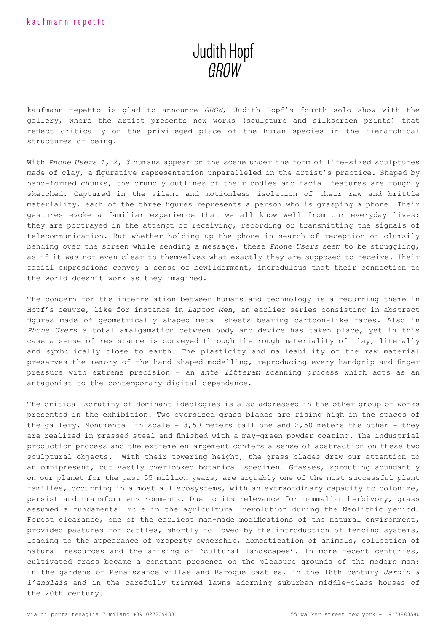## Judith Hopf GROW

kaufmann repetto is glad to announce *GROW*, Judith Hopf's fourth solo show with the gallery, where the artist presents new works (sculpture and silkscreen prints) that reflect critically on the privileged place of the human species in the hierarchical structures of being.

With *Phone Users 1, 2, 3* humans appear on the scene under the form of life-sized sculptures made of clay, a figurative representation unparalleled in the artist's practice. Shaped by hand-formed chunks, the crumbly outlines of their bodies and facial features are roughly sketched. Captured in the silent and motionless isolation of their raw and brittle materiality, each of the three figures represents a person who is grasping a phone. Their gestures evoke a familiar experience that we all know well from our everyday lives: they are portrayed in the attempt of receiving, recording or transmitting the signals of telecommunication. But whether holding up the phone in search of reception or clumsily bending over the screen while sending a message, these *Phone Users* seem to be struggling, as if it was not even clear to themselves what exactly they are supposed to receive. Their facial expressions convey a sense of bewilderment, incredulous that their connection to the world doesn't work as they imagined.

The concern for the interrelation between humans and technology is a recurring theme in Hopf's oeuvre, like for instance in *Laptop Men*, an earlier series consisting in abstract figures made of geometrically shaped metal sheets bearing cartoon-like faces. Also in *Phone Users* a total amalgamation between body and device has taken place, yet in this case a sense of resistance is conveyed through the rough materiality of clay, literally and symbolically close to earth. The plasticity and malleability of the raw material preserves the memory of the hand-shaped modelling, reproducing every handgrip and finger pressure with extreme precision – an *ante litteram* scanning process which acts as an antagonist to the contemporary digital dependance.

The critical scrutiny of dominant ideologies is also addressed in the other group of works presented in the exhibition. Two oversized grass blades are rising high in the spaces of the gallery. Monumental in scale -  $3,50$  meters tall one and  $2,50$  meters the other - they are realized in pressed steel and finished with a may-green powder coating. The industrial production process and the extreme enlargement confers a sense of abstraction on these two sculptural objects. With their towering height, the grass blades draw our attention to an omnipresent, but vastly overlooked botanical specimen. Grasses, sprouting abundantly on our planet for the past 55 million years, are arguably one of the most successful plant families, occurring in almost all ecosystems, with an extraordinary capacity to colonize, persist and transform environments. Due to its relevance for mammalian herbivory, grass assumed a fundamental role in the agricultural revolution during the Neolithic period. Forest clearance, one of the earliest man-made modifications of the natural environment, provided pastures for cattles, shortly followed by the introduction of fencing systems, leading to the appearance of property ownership, domestication of animals, collection of natural resources and the arising of 'cultural landscapes'. In more recent centuries, cultivated grass became a constant presence on the pleasure grounds of the modern man: in the gardens of Renaissance villas and Baroque castles, in the 18th century *Jardin à l'anglais* and in the carefully trimmed lawns adorning suburban middle-class houses of the 20th century.